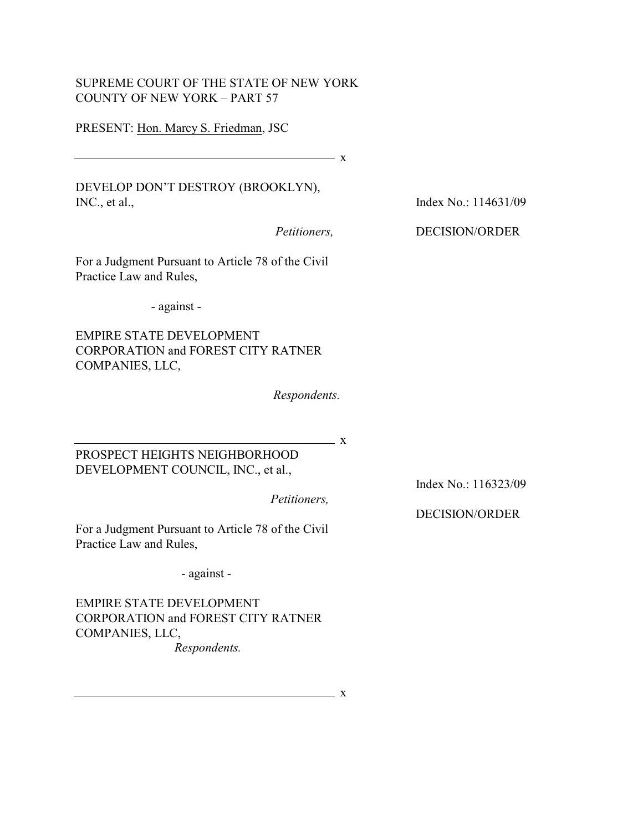## SUPREME COURT OF THE STATE OF NEW YORK COUNTY OF NEW YORK – PART 57

## PRESENT: Hon. Marcy S. Friedman, JSC

 $\overline{\phantom{1}}$  x

DEVELOP DON'T DESTROY (BROOKLYN), INC., et al.,

*Petitioners,* 

For a Judgment Pursuant to Article 78 of the Civil Practice Law and Rules,

- against -

EMPIRE STATE DEVELOPMENT CORPORATION and FOREST CITY RATNER COMPANIES, LLC,

*Respondents.*

 $\overline{\mathbf{X}}$ 

PROSPECT HEIGHTS NEIGHBORHOOD DEVELOPMENT COUNCIL, INC., et al.,

*Petitioners,* 

Index No.: 116323/09

DECISION/ORDER

For a Judgment Pursuant to Article 78 of the Civil Practice Law and Rules,

- against -

EMPIRE STATE DEVELOPMENT CORPORATION and FOREST CITY RATNER COMPANIES, LLC, *Respondents.*

Index No.: 114631/09

## DECISION/ORDER

<u>x</u>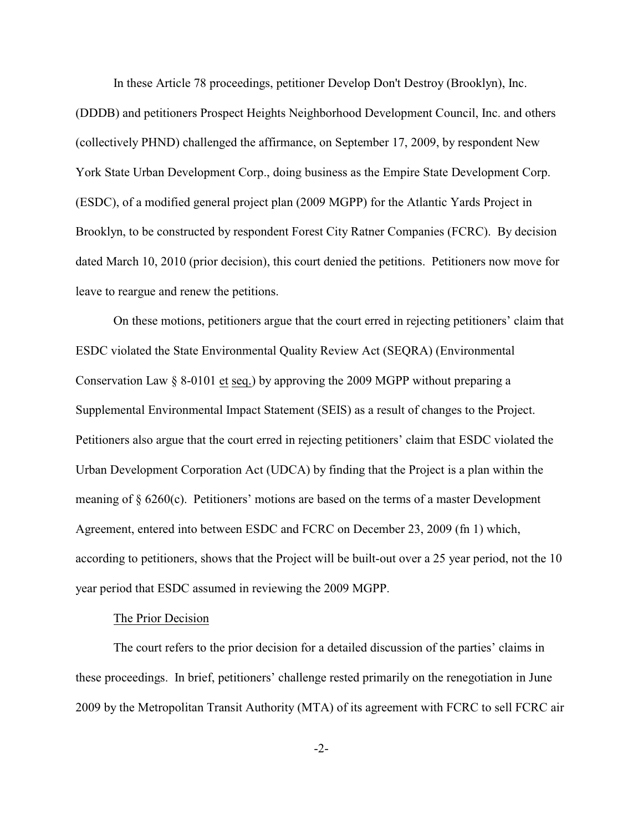In these Article 78 proceedings, petitioner Develop Don't Destroy (Brooklyn), Inc.

(DDDB) and petitioners Prospect Heights Neighborhood Development Council, Inc. and others (collectively PHND) challenged the affirmance, on September 17, 2009, by respondent New York State Urban Development Corp., doing business as the Empire State Development Corp. (ESDC), of a modified general project plan (2009 MGPP) for the Atlantic Yards Project in Brooklyn, to be constructed by respondent Forest City Ratner Companies (FCRC). By decision dated March 10, 2010 (prior decision), this court denied the petitions. Petitioners now move for leave to reargue and renew the petitions.

On these motions, petitioners argue that the court erred in rejecting petitioners' claim that ESDC violated the State Environmental Quality Review Act (SEQRA) (Environmental Conservation Law § 8-0101 et seq.) by approving the 2009 MGPP without preparing a Supplemental Environmental Impact Statement (SEIS) as a result of changes to the Project. Petitioners also argue that the court erred in rejecting petitioners' claim that ESDC violated the Urban Development Corporation Act (UDCA) by finding that the Project is a plan within the meaning of § 6260(c). Petitioners' motions are based on the terms of a master Development Agreement, entered into between ESDC and FCRC on December 23, 2009 (fn 1) which, according to petitioners, shows that the Project will be built-out over a 25 year period, not the 10 year period that ESDC assumed in reviewing the 2009 MGPP.

## The Prior Decision

The court refers to the prior decision for a detailed discussion of the parties' claims in these proceedings. In brief, petitioners' challenge rested primarily on the renegotiation in June 2009 by the Metropolitan Transit Authority (MTA) of its agreement with FCRC to sell FCRC air

-2-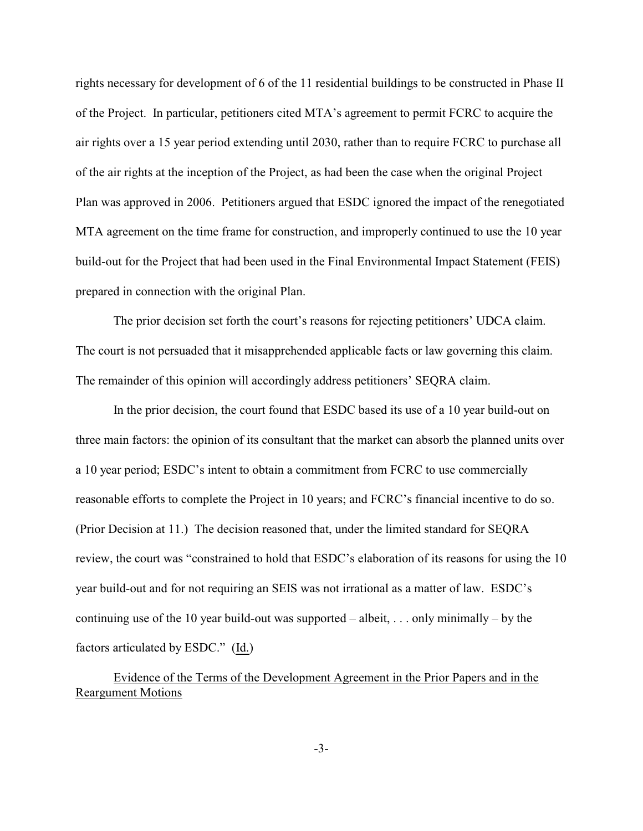rights necessary for development of 6 of the 11 residential buildings to be constructed in Phase II of the Project. In particular, petitioners cited MTA's agreement to permit FCRC to acquire the air rights over a 15 year period extending until 2030, rather than to require FCRC to purchase all of the air rights at the inception of the Project, as had been the case when the original Project Plan was approved in 2006. Petitioners argued that ESDC ignored the impact of the renegotiated MTA agreement on the time frame for construction, and improperly continued to use the 10 year build-out for the Project that had been used in the Final Environmental Impact Statement (FEIS) prepared in connection with the original Plan.

The prior decision set forth the court's reasons for rejecting petitioners' UDCA claim. The court is not persuaded that it misapprehended applicable facts or law governing this claim. The remainder of this opinion will accordingly address petitioners' SEQRA claim.

In the prior decision, the court found that ESDC based its use of a 10 year build-out on three main factors: the opinion of its consultant that the market can absorb the planned units over a 10 year period; ESDC's intent to obtain a commitment from FCRC to use commercially reasonable efforts to complete the Project in 10 years; and FCRC's financial incentive to do so. (Prior Decision at 11.) The decision reasoned that, under the limited standard for SEQRA review, the court was "constrained to hold that ESDC's elaboration of its reasons for using the 10 year build-out and for not requiring an SEIS was not irrational as a matter of law. ESDC's continuing use of the 10 year build-out was supported – albeit, ... only minimally – by the factors articulated by ESDC." (Id.)

# Evidence of the Terms of the Development Agreement in the Prior Papers and in the Reargument Motions

-3-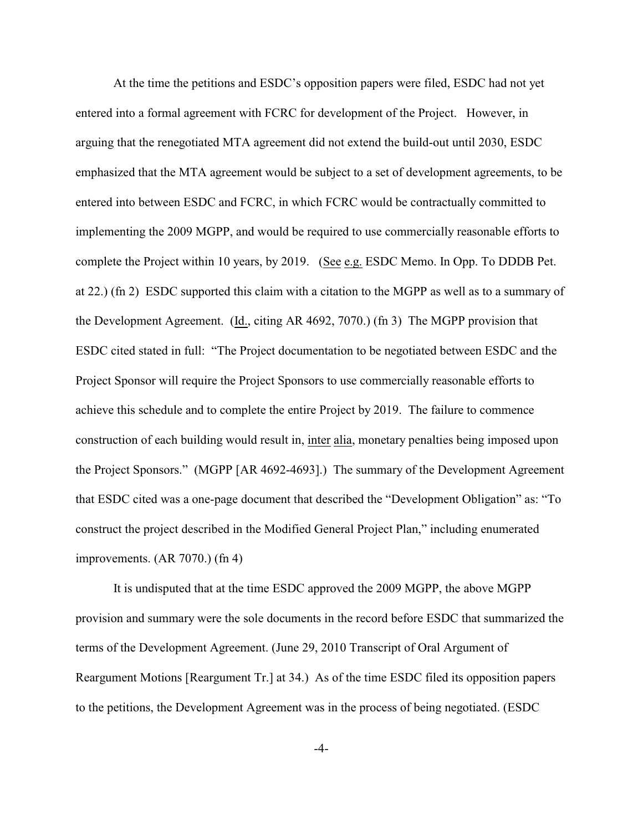At the time the petitions and ESDC's opposition papers were filed, ESDC had not yet entered into a formal agreement with FCRC for development of the Project. However, in arguing that the renegotiated MTA agreement did not extend the build-out until 2030, ESDC emphasized that the MTA agreement would be subject to a set of development agreements, to be entered into between ESDC and FCRC, in which FCRC would be contractually committed to implementing the 2009 MGPP, and would be required to use commercially reasonable efforts to complete the Project within 10 years, by 2019. (See e.g. ESDC Memo. In Opp. To DDDB Pet. at 22.) (fn 2) ESDC supported this claim with a citation to the MGPP as well as to a summary of the Development Agreement. (Id., citing AR 4692, 7070.) (fn 3) The MGPP provision that ESDC cited stated in full: "The Project documentation to be negotiated between ESDC and the Project Sponsor will require the Project Sponsors to use commercially reasonable efforts to achieve this schedule and to complete the entire Project by 2019. The failure to commence construction of each building would result in, inter alia, monetary penalties being imposed upon the Project Sponsors." (MGPP [AR 4692-4693].) The summary of the Development Agreement that ESDC cited was a one-page document that described the "Development Obligation" as: "To construct the project described in the Modified General Project Plan," including enumerated improvements. (AR 7070.) (fn 4)

It is undisputed that at the time ESDC approved the 2009 MGPP, the above MGPP provision and summary were the sole documents in the record before ESDC that summarized the terms of the Development Agreement. (June 29, 2010 Transcript of Oral Argument of Reargument Motions [Reargument Tr.] at 34.) As of the time ESDC filed its opposition papers to the petitions, the Development Agreement was in the process of being negotiated. (ESDC

-4-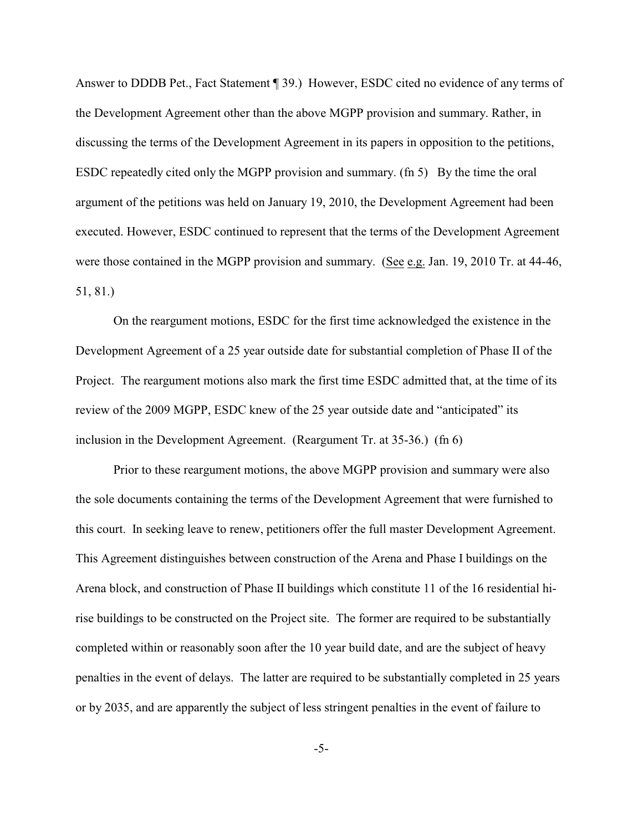Answer to DDDB Pet., Fact Statement ¶ 39.) However, ESDC cited no evidence of any terms of the Development Agreement other than the above MGPP provision and summary. Rather, in discussing the terms of the Development Agreement in its papers in opposition to the petitions, ESDC repeatedly cited only the MGPP provision and summary. (fn 5) By the time the oral argument of the petitions was held on January 19, 2010, the Development Agreement had been executed. However, ESDC continued to represent that the terms of the Development Agreement were those contained in the MGPP provision and summary. (See e.g. Jan. 19, 2010 Tr. at 44-46, 51, 81.)

On the reargument motions, ESDC for the first time acknowledged the existence in the Development Agreement of a 25 year outside date for substantial completion of Phase II of the Project. The reargument motions also mark the first time ESDC admitted that, at the time of its review of the 2009 MGPP, ESDC knew of the 25 year outside date and "anticipated" its inclusion in the Development Agreement. (Reargument Tr. at 35-36.) (fn 6)

Prior to these reargument motions, the above MGPP provision and summary were also the sole documents containing the terms of the Development Agreement that were furnished to this court. In seeking leave to renew, petitioners offer the full master Development Agreement. This Agreement distinguishes between construction of the Arena and Phase I buildings on the Arena block, and construction of Phase II buildings which constitute 11 of the 16 residential hirise buildings to be constructed on the Project site. The former are required to be substantially completed within or reasonably soon after the 10 year build date, and are the subject of heavy penalties in the event of delays. The latter are required to be substantially completed in 25 years or by 2035, and are apparently the subject of less stringent penalties in the event of failure to

-5-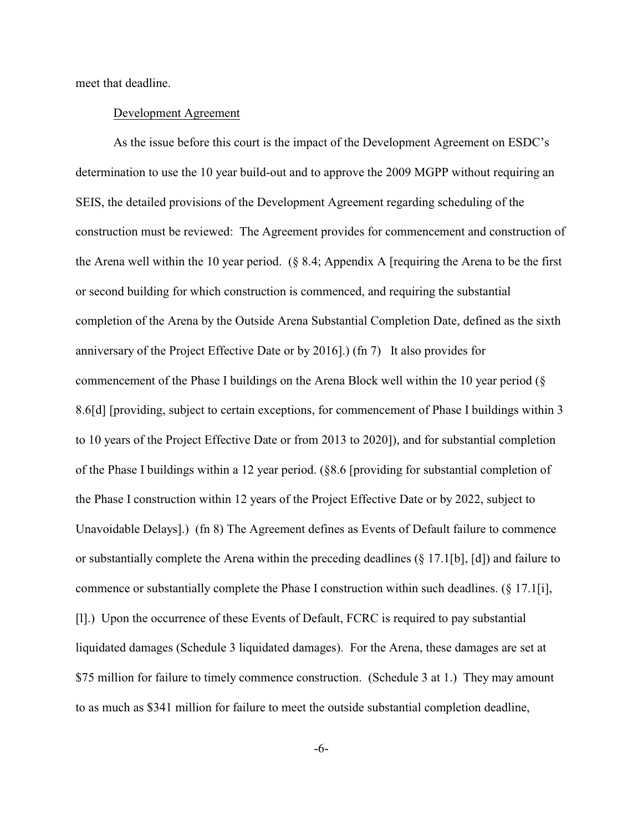meet that deadline.

#### Development Agreement

As the issue before this court is the impact of the Development Agreement on ESDC's determination to use the 10 year build-out and to approve the 2009 MGPP without requiring an SEIS, the detailed provisions of the Development Agreement regarding scheduling of the construction must be reviewed: The Agreement provides for commencement and construction of the Arena well within the 10 year period. (§ 8.4; Appendix A [requiring the Arena to be the first or second building for which construction is commenced, and requiring the substantial completion of the Arena by the Outside Arena Substantial Completion Date, defined as the sixth anniversary of the Project Effective Date or by 2016].) (fn 7) It also provides for commencement of the Phase I buildings on the Arena Block well within the 10 year period (§ 8.6[d] [providing, subject to certain exceptions, for commencement of Phase I buildings within 3 to 10 years of the Project Effective Date or from 2013 to 2020]), and for substantial completion of the Phase I buildings within a 12 year period. (§8.6 [providing for substantial completion of the Phase I construction within 12 years of the Project Effective Date or by 2022, subject to Unavoidable Delays].) (fn 8) The Agreement defines as Events of Default failure to commence or substantially complete the Arena within the preceding deadlines (§ 17.1[b], [d]) and failure to commence or substantially complete the Phase I construction within such deadlines. (§ 17.1[i], [l].) Upon the occurrence of these Events of Default, FCRC is required to pay substantial liquidated damages (Schedule 3 liquidated damages). For the Arena, these damages are set at \$75 million for failure to timely commence construction. (Schedule 3 at 1.) They may amount to as much as \$341 million for failure to meet the outside substantial completion deadline,

-6-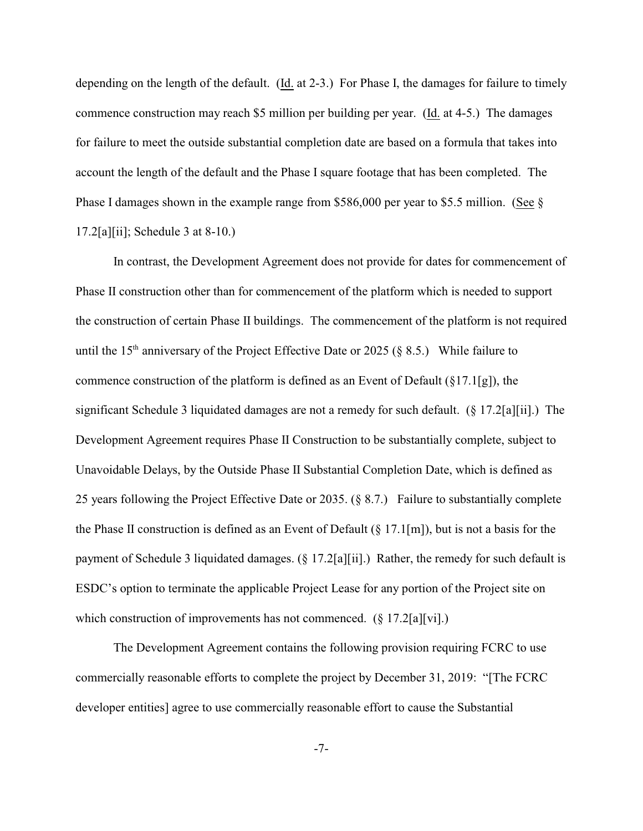depending on the length of the default. (Id. at 2-3.) For Phase I, the damages for failure to timely commence construction may reach \$5 million per building per year. (Id. at 4-5.) The damages for failure to meet the outside substantial completion date are based on a formula that takes into account the length of the default and the Phase I square footage that has been completed. The Phase I damages shown in the example range from \$586,000 per year to \$5.5 million. (See § 17.2[a][ii]; Schedule 3 at 8-10.)

In contrast, the Development Agreement does not provide for dates for commencement of Phase II construction other than for commencement of the platform which is needed to support the construction of certain Phase II buildings. The commencement of the platform is not required until the 15<sup>th</sup> anniversary of the Project Effective Date or 2025 (§ 8.5.) While failure to commence construction of the platform is defined as an Event of Default (§17.1[g]), the significant Schedule 3 liquidated damages are not a remedy for such default. (§ 17.2[a][ii].) The Development Agreement requires Phase II Construction to be substantially complete, subject to Unavoidable Delays, by the Outside Phase II Substantial Completion Date, which is defined as 25 years following the Project Effective Date or 2035. (§ 8.7.) Failure to substantially complete the Phase II construction is defined as an Event of Default (§ 17.1[m]), but is not a basis for the payment of Schedule 3 liquidated damages.  $(\S 17.2[a][ii])$  Rather, the remedy for such default is ESDC's option to terminate the applicable Project Lease for any portion of the Project site on which construction of improvements has not commenced. (§ 17.2[a][vi].)

The Development Agreement contains the following provision requiring FCRC to use commercially reasonable efforts to complete the project by December 31, 2019: "[The FCRC developer entities] agree to use commercially reasonable effort to cause the Substantial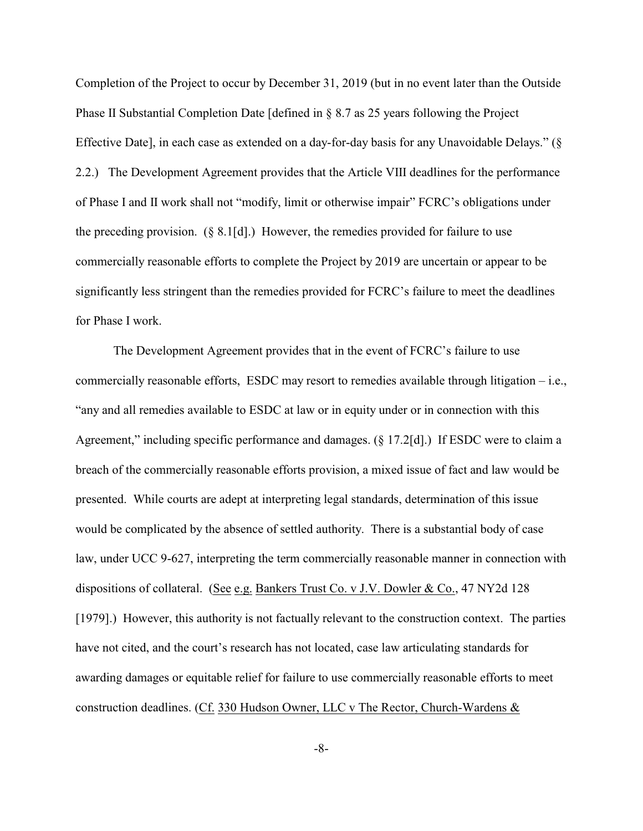Completion of the Project to occur by December 31, 2019 (but in no event later than the Outside Phase II Substantial Completion Date [defined in § 8.7 as 25 years following the Project Effective Date], in each case as extended on a day-for-day basis for any Unavoidable Delays." (§ 2.2.) The Development Agreement provides that the Article VIII deadlines for the performance of Phase I and II work shall not "modify, limit or otherwise impair" FCRC's obligations under the preceding provision. (§ 8.1[d].) However, the remedies provided for failure to use commercially reasonable efforts to complete the Project by 2019 are uncertain or appear to be significantly less stringent than the remedies provided for FCRC's failure to meet the deadlines for Phase I work.

The Development Agreement provides that in the event of FCRC's failure to use commercially reasonable efforts, ESDC may resort to remedies available through litigation – i.e., "any and all remedies available to ESDC at law or in equity under or in connection with this Agreement," including specific performance and damages. (§ 17.2[d].) If ESDC were to claim a breach of the commercially reasonable efforts provision, a mixed issue of fact and law would be presented. While courts are adept at interpreting legal standards, determination of this issue would be complicated by the absence of settled authority. There is a substantial body of case law, under UCC 9-627, interpreting the term commercially reasonable manner in connection with dispositions of collateral. (See e.g. Bankers Trust Co. v J.V. Dowler & Co., 47 NY2d 128 [1979].) However, this authority is not factually relevant to the construction context. The parties have not cited, and the court's research has not located, case law articulating standards for awarding damages or equitable relief for failure to use commercially reasonable efforts to meet construction deadlines. (Cf. 330 Hudson Owner, LLC v The Rector, Church-Wardens &

-8-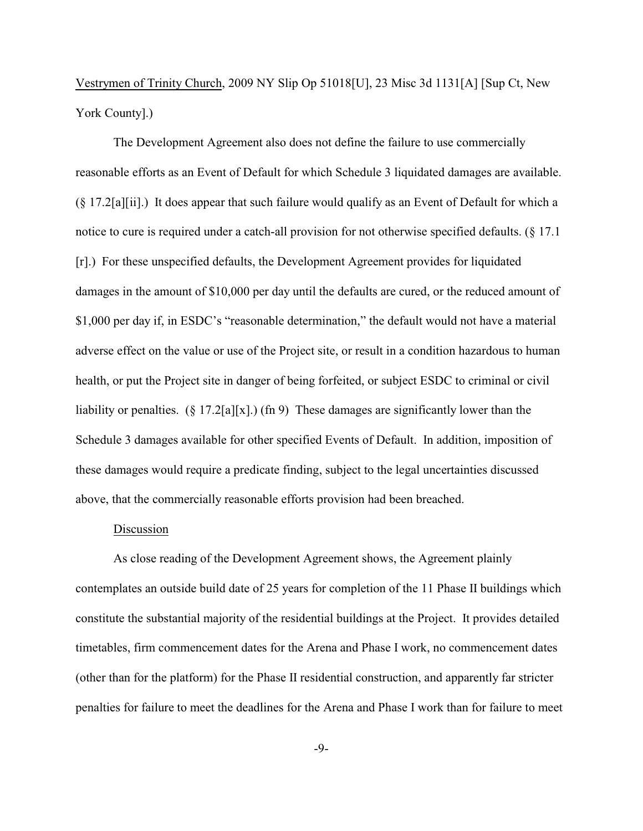Vestrymen of Trinity Church, 2009 NY Slip Op 51018[U], 23 Misc 3d 1131[A] [Sup Ct, New York County].)

The Development Agreement also does not define the failure to use commercially reasonable efforts as an Event of Default for which Schedule 3 liquidated damages are available. (§ 17.2[a][ii].) It does appear that such failure would qualify as an Event of Default for which a notice to cure is required under a catch-all provision for not otherwise specified defaults. (§ 17.1 [r].) For these unspecified defaults, the Development Agreement provides for liquidated damages in the amount of \$10,000 per day until the defaults are cured, or the reduced amount of \$1,000 per day if, in ESDC's "reasonable determination," the default would not have a material adverse effect on the value or use of the Project site, or result in a condition hazardous to human health, or put the Project site in danger of being forfeited, or subject ESDC to criminal or civil liability or penalties.  $(\S 17.2[a][x])$  (fn 9) These damages are significantly lower than the Schedule 3 damages available for other specified Events of Default. In addition, imposition of these damages would require a predicate finding, subject to the legal uncertainties discussed above, that the commercially reasonable efforts provision had been breached.

### Discussion

As close reading of the Development Agreement shows, the Agreement plainly contemplates an outside build date of 25 years for completion of the 11 Phase II buildings which constitute the substantial majority of the residential buildings at the Project. It provides detailed timetables, firm commencement dates for the Arena and Phase I work, no commencement dates (other than for the platform) for the Phase II residential construction, and apparently far stricter penalties for failure to meet the deadlines for the Arena and Phase I work than for failure to meet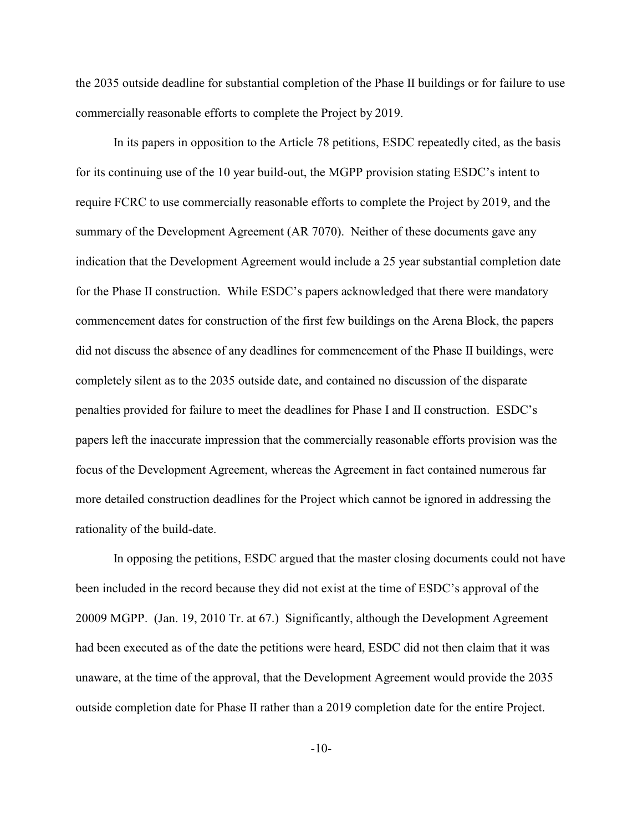the 2035 outside deadline for substantial completion of the Phase II buildings or for failure to use commercially reasonable efforts to complete the Project by 2019.

In its papers in opposition to the Article 78 petitions, ESDC repeatedly cited, as the basis for its continuing use of the 10 year build-out, the MGPP provision stating ESDC's intent to require FCRC to use commercially reasonable efforts to complete the Project by 2019, and the summary of the Development Agreement (AR 7070). Neither of these documents gave any indication that the Development Agreement would include a 25 year substantial completion date for the Phase II construction. While ESDC's papers acknowledged that there were mandatory commencement dates for construction of the first few buildings on the Arena Block, the papers did not discuss the absence of any deadlines for commencement of the Phase II buildings, were completely silent as to the 2035 outside date, and contained no discussion of the disparate penalties provided for failure to meet the deadlines for Phase I and II construction. ESDC's papers left the inaccurate impression that the commercially reasonable efforts provision was the focus of the Development Agreement, whereas the Agreement in fact contained numerous far more detailed construction deadlines for the Project which cannot be ignored in addressing the rationality of the build-date.

In opposing the petitions, ESDC argued that the master closing documents could not have been included in the record because they did not exist at the time of ESDC's approval of the 20009 MGPP. (Jan. 19, 2010 Tr. at 67.) Significantly, although the Development Agreement had been executed as of the date the petitions were heard, ESDC did not then claim that it was unaware, at the time of the approval, that the Development Agreement would provide the 2035 outside completion date for Phase II rather than a 2019 completion date for the entire Project.

-10-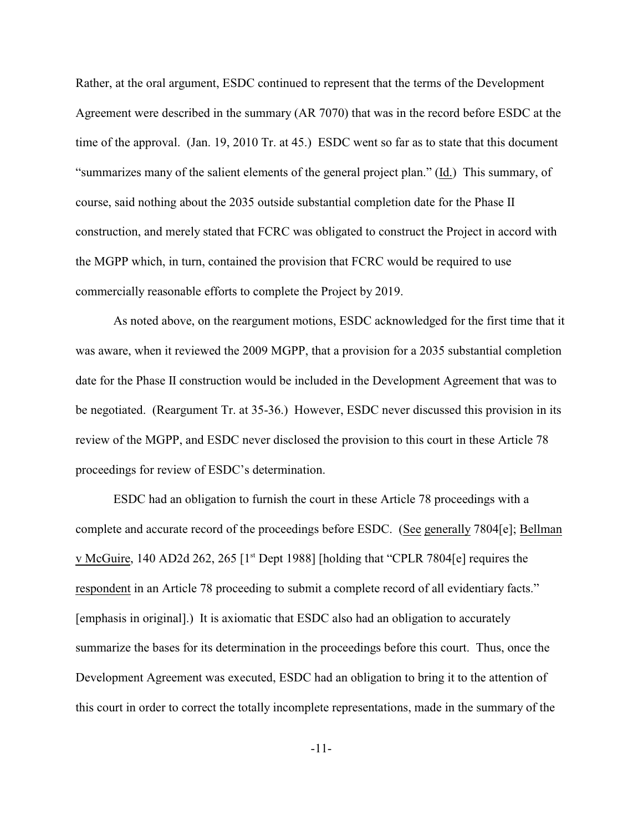Rather, at the oral argument, ESDC continued to represent that the terms of the Development Agreement were described in the summary (AR 7070) that was in the record before ESDC at the time of the approval. (Jan. 19, 2010 Tr. at 45.) ESDC went so far as to state that this document "summarizes many of the salient elements of the general project plan." (Id.) This summary, of course, said nothing about the 2035 outside substantial completion date for the Phase II construction, and merely stated that FCRC was obligated to construct the Project in accord with the MGPP which, in turn, contained the provision that FCRC would be required to use commercially reasonable efforts to complete the Project by 2019.

As noted above, on the reargument motions, ESDC acknowledged for the first time that it was aware, when it reviewed the 2009 MGPP, that a provision for a 2035 substantial completion date for the Phase II construction would be included in the Development Agreement that was to be negotiated. (Reargument Tr. at 35-36.) However, ESDC never discussed this provision in its review of the MGPP, and ESDC never disclosed the provision to this court in these Article 78 proceedings for review of ESDC's determination.

ESDC had an obligation to furnish the court in these Article 78 proceedings with a complete and accurate record of the proceedings before ESDC. (See generally 7804[e]; Bellman v McGuire, 140 AD2d 262, 265  $[1<sup>st</sup>$  Dept 1988] [holding that "CPLR 7804 $[e]$  requires the respondent in an Article 78 proceeding to submit a complete record of all evidentiary facts." [emphasis in original].) It is axiomatic that ESDC also had an obligation to accurately summarize the bases for its determination in the proceedings before this court. Thus, once the Development Agreement was executed, ESDC had an obligation to bring it to the attention of this court in order to correct the totally incomplete representations, made in the summary of the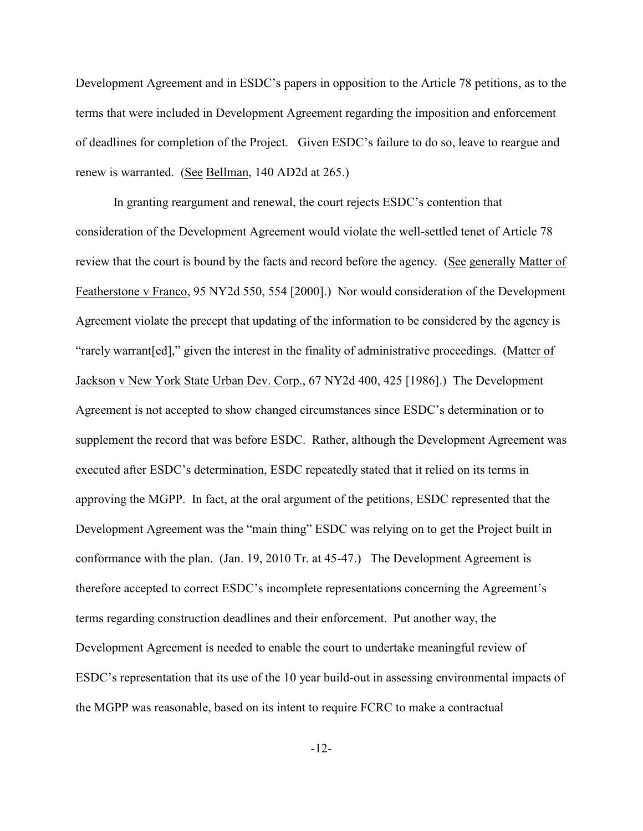Development Agreement and in ESDC's papers in opposition to the Article 78 petitions, as to the terms that were included in Development Agreement regarding the imposition and enforcement of deadlines for completion of the Project. Given ESDC's failure to do so, leave to reargue and renew is warranted. (See Bellman, 140 AD2d at 265.)

In granting reargument and renewal, the court rejects ESDC's contention that consideration of the Development Agreement would violate the well-settled tenet of Article 78 review that the court is bound by the facts and record before the agency. (See generally Matter of Featherstone v Franco, 95 NY2d 550, 554 [2000].) Nor would consideration of the Development Agreement violate the precept that updating of the information to be considered by the agency is "rarely warrant[ed]," given the interest in the finality of administrative proceedings. (Matter of Jackson v New York State Urban Dev. Corp., 67 NY2d 400, 425 [1986].) The Development Agreement is not accepted to show changed circumstances since ESDC's determination or to supplement the record that was before ESDC. Rather, although the Development Agreement was executed after ESDC's determination, ESDC repeatedly stated that it relied on its terms in approving the MGPP. In fact, at the oral argument of the petitions, ESDC represented that the Development Agreement was the "main thing" ESDC was relying on to get the Project built in conformance with the plan. (Jan. 19, 2010 Tr. at 45-47.) The Development Agreement is therefore accepted to correct ESDC's incomplete representations concerning the Agreement's terms regarding construction deadlines and their enforcement. Put another way, the Development Agreement is needed to enable the court to undertake meaningful review of ESDC's representation that its use of the 10 year build-out in assessing environmental impacts of the MGPP was reasonable, based on its intent to require FCRC to make a contractual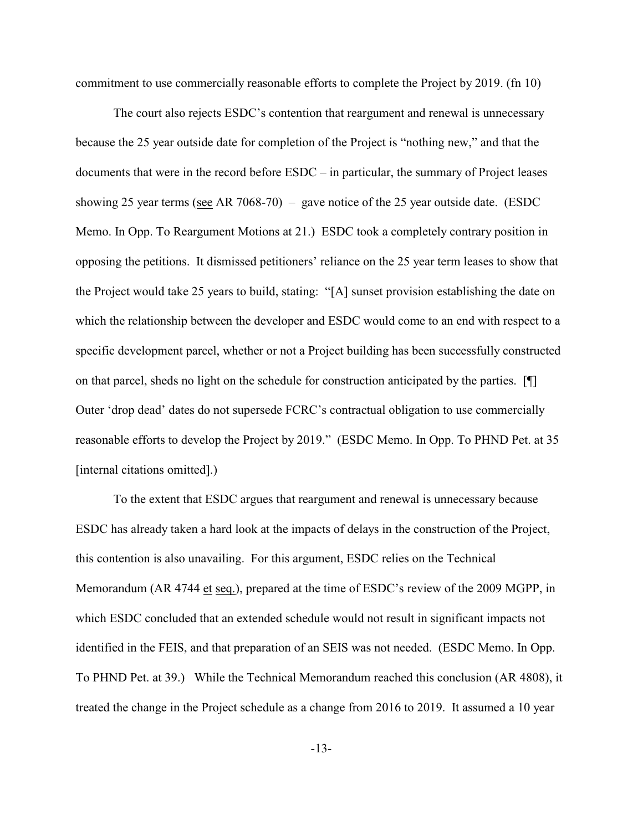commitment to use commercially reasonable efforts to complete the Project by 2019. (fn 10)

The court also rejects ESDC's contention that reargument and renewal is unnecessary because the 25 year outside date for completion of the Project is "nothing new," and that the documents that were in the record before ESDC – in particular, the summary of Project leases showing 25 year terms (see AR 7068-70) – gave notice of the 25 year outside date. (ESDC Memo. In Opp. To Reargument Motions at 21.) ESDC took a completely contrary position in opposing the petitions. It dismissed petitioners' reliance on the 25 year term leases to show that the Project would take 25 years to build, stating: "[A] sunset provision establishing the date on which the relationship between the developer and ESDC would come to an end with respect to a specific development parcel, whether or not a Project building has been successfully constructed on that parcel, sheds no light on the schedule for construction anticipated by the parties. [¶] Outer 'drop dead' dates do not supersede FCRC's contractual obligation to use commercially reasonable efforts to develop the Project by 2019." (ESDC Memo. In Opp. To PHND Pet. at 35 [internal citations omitted].)

To the extent that ESDC argues that reargument and renewal is unnecessary because ESDC has already taken a hard look at the impacts of delays in the construction of the Project, this contention is also unavailing. For this argument, ESDC relies on the Technical Memorandum (AR 4744 et seq.), prepared at the time of ESDC's review of the 2009 MGPP, in which ESDC concluded that an extended schedule would not result in significant impacts not identified in the FEIS, and that preparation of an SEIS was not needed. (ESDC Memo. In Opp. To PHND Pet. at 39.) While the Technical Memorandum reached this conclusion (AR 4808), it treated the change in the Project schedule as a change from 2016 to 2019. It assumed a 10 year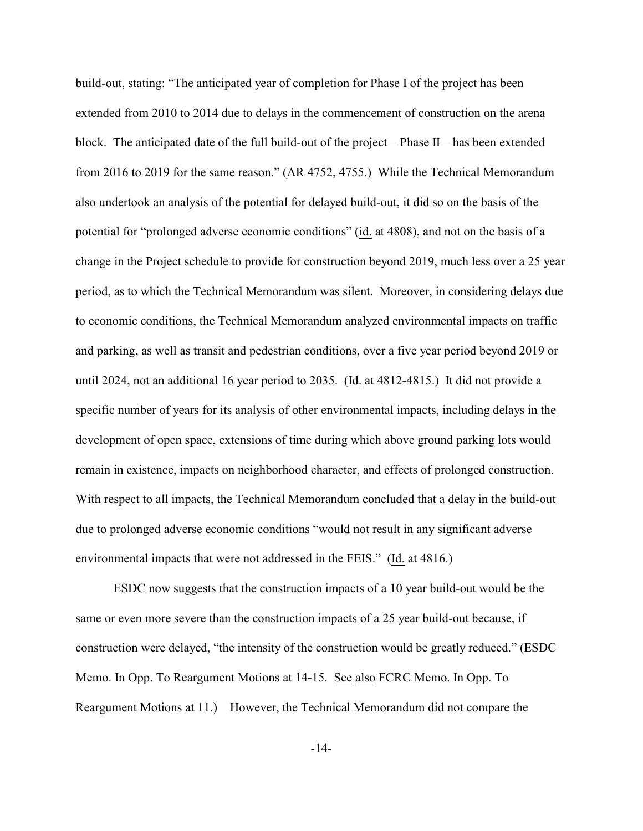build-out, stating: "The anticipated year of completion for Phase I of the project has been extended from 2010 to 2014 due to delays in the commencement of construction on the arena block. The anticipated date of the full build-out of the project – Phase  $II$  – has been extended from 2016 to 2019 for the same reason." (AR 4752, 4755.) While the Technical Memorandum also undertook an analysis of the potential for delayed build-out, it did so on the basis of the potential for "prolonged adverse economic conditions" (id. at 4808), and not on the basis of a change in the Project schedule to provide for construction beyond 2019, much less over a 25 year period, as to which the Technical Memorandum was silent. Moreover, in considering delays due to economic conditions, the Technical Memorandum analyzed environmental impacts on traffic and parking, as well as transit and pedestrian conditions, over a five year period beyond 2019 or until 2024, not an additional 16 year period to 2035. (Id. at 4812-4815.) It did not provide a specific number of years for its analysis of other environmental impacts, including delays in the development of open space, extensions of time during which above ground parking lots would remain in existence, impacts on neighborhood character, and effects of prolonged construction. With respect to all impacts, the Technical Memorandum concluded that a delay in the build-out due to prolonged adverse economic conditions "would not result in any significant adverse environmental impacts that were not addressed in the FEIS." (Id. at 4816.)

ESDC now suggests that the construction impacts of a 10 year build-out would be the same or even more severe than the construction impacts of a 25 year build-out because, if construction were delayed, "the intensity of the construction would be greatly reduced." (ESDC Memo. In Opp. To Reargument Motions at 14-15. See also FCRC Memo. In Opp. To Reargument Motions at 11.) However, the Technical Memorandum did not compare the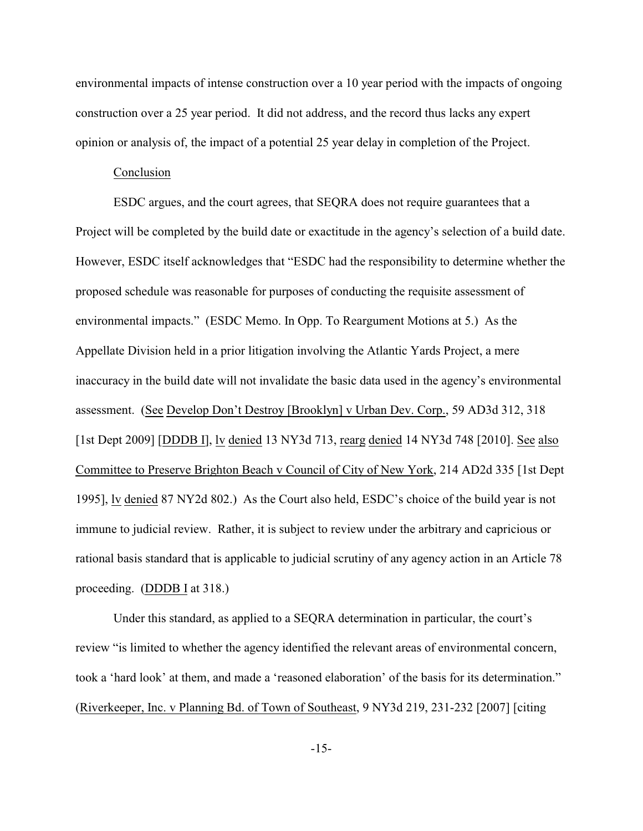environmental impacts of intense construction over a 10 year period with the impacts of ongoing construction over a 25 year period. It did not address, and the record thus lacks any expert opinion or analysis of, the impact of a potential 25 year delay in completion of the Project.

## Conclusion

ESDC argues, and the court agrees, that SEQRA does not require guarantees that a Project will be completed by the build date or exactitude in the agency's selection of a build date. However, ESDC itself acknowledges that "ESDC had the responsibility to determine whether the proposed schedule was reasonable for purposes of conducting the requisite assessment of environmental impacts." (ESDC Memo. In Opp. To Reargument Motions at 5.) As the Appellate Division held in a prior litigation involving the Atlantic Yards Project, a mere inaccuracy in the build date will not invalidate the basic data used in the agency's environmental assessment. (See Develop Don't Destroy [Brooklyn] v Urban Dev. Corp., 59 AD3d 312, 318 [1st Dept 2009] [DDDB I], lv denied 13 NY3d 713, rearg denied 14 NY3d 748 [2010]. See also Committee to Preserve Brighton Beach v Council of City of New York, 214 AD2d 335 [1st Dept 1995], lv denied 87 NY2d 802.) As the Court also held, ESDC's choice of the build year is not immune to judicial review. Rather, it is subject to review under the arbitrary and capricious or rational basis standard that is applicable to judicial scrutiny of any agency action in an Article 78 proceeding. (DDDB I at 318.)

Under this standard, as applied to a SEQRA determination in particular, the court's review "is limited to whether the agency identified the relevant areas of environmental concern, took a 'hard look' at them, and made a 'reasoned elaboration' of the basis for its determination." (Riverkeeper, Inc. v Planning Bd. of Town of Southeast, 9 NY3d 219, 231-232 [2007] [citing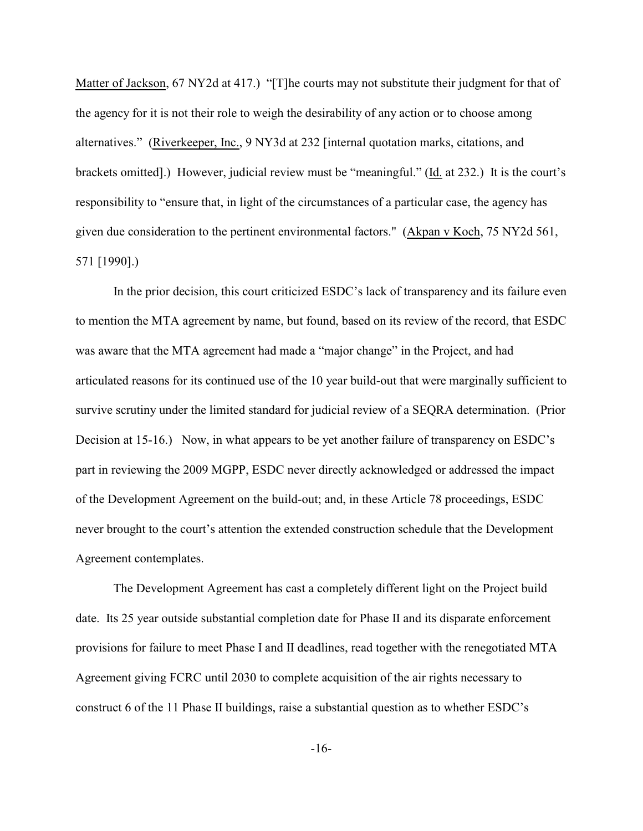Matter of Jackson, 67 NY2d at 417.) "[T]he courts may not substitute their judgment for that of the agency for it is not their role to weigh the desirability of any action or to choose among alternatives." (Riverkeeper, Inc., 9 NY3d at 232 [internal quotation marks, citations, and brackets omitted].) However, judicial review must be "meaningful." (Id. at 232.) It is the court's responsibility to "ensure that, in light of the circumstances of a particular case, the agency has given due consideration to the pertinent environmental factors." (Akpan v Koch, 75 NY2d 561, 571 [1990].)

In the prior decision, this court criticized ESDC's lack of transparency and its failure even to mention the MTA agreement by name, but found, based on its review of the record, that ESDC was aware that the MTA agreement had made a "major change" in the Project, and had articulated reasons for its continued use of the 10 year build-out that were marginally sufficient to survive scrutiny under the limited standard for judicial review of a SEQRA determination. (Prior Decision at 15-16.) Now, in what appears to be yet another failure of transparency on ESDC's part in reviewing the 2009 MGPP, ESDC never directly acknowledged or addressed the impact of the Development Agreement on the build-out; and, in these Article 78 proceedings, ESDC never brought to the court's attention the extended construction schedule that the Development Agreement contemplates.

The Development Agreement has cast a completely different light on the Project build date. Its 25 year outside substantial completion date for Phase II and its disparate enforcement provisions for failure to meet Phase I and II deadlines, read together with the renegotiated MTA Agreement giving FCRC until 2030 to complete acquisition of the air rights necessary to construct 6 of the 11 Phase II buildings, raise a substantial question as to whether ESDC's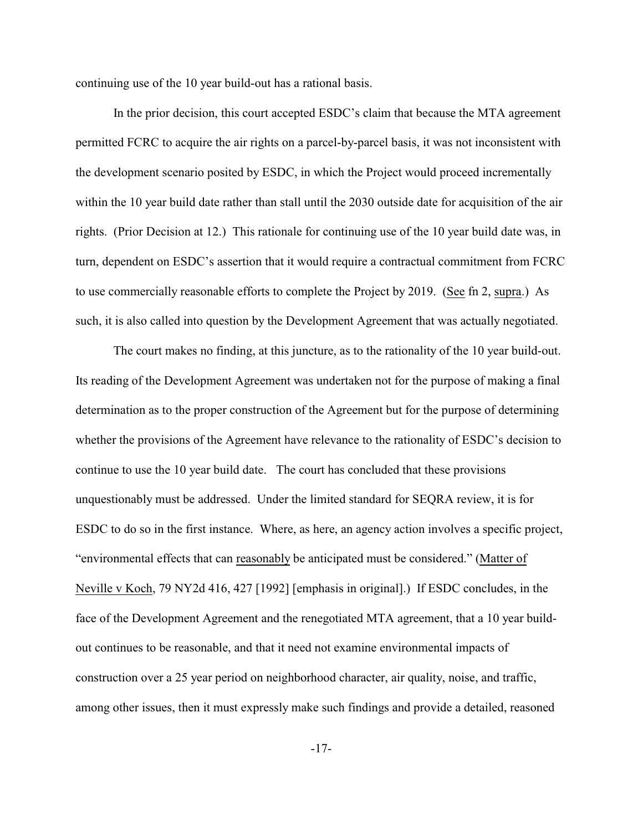continuing use of the 10 year build-out has a rational basis.

In the prior decision, this court accepted ESDC's claim that because the MTA agreement permitted FCRC to acquire the air rights on a parcel-by-parcel basis, it was not inconsistent with the development scenario posited by ESDC, in which the Project would proceed incrementally within the 10 year build date rather than stall until the 2030 outside date for acquisition of the air rights. (Prior Decision at 12.) This rationale for continuing use of the 10 year build date was, in turn, dependent on ESDC's assertion that it would require a contractual commitment from FCRC to use commercially reasonable efforts to complete the Project by 2019. (See fn 2, supra.) As such, it is also called into question by the Development Agreement that was actually negotiated.

The court makes no finding, at this juncture, as to the rationality of the 10 year build-out. Its reading of the Development Agreement was undertaken not for the purpose of making a final determination as to the proper construction of the Agreement but for the purpose of determining whether the provisions of the Agreement have relevance to the rationality of ESDC's decision to continue to use the 10 year build date. The court has concluded that these provisions unquestionably must be addressed. Under the limited standard for SEQRA review, it is for ESDC to do so in the first instance. Where, as here, an agency action involves a specific project, "environmental effects that can reasonably be anticipated must be considered." (Matter of Neville v Koch, 79 NY2d 416, 427 [1992] [emphasis in original].) If ESDC concludes, in the face of the Development Agreement and the renegotiated MTA agreement, that a 10 year buildout continues to be reasonable, and that it need not examine environmental impacts of construction over a 25 year period on neighborhood character, air quality, noise, and traffic, among other issues, then it must expressly make such findings and provide a detailed, reasoned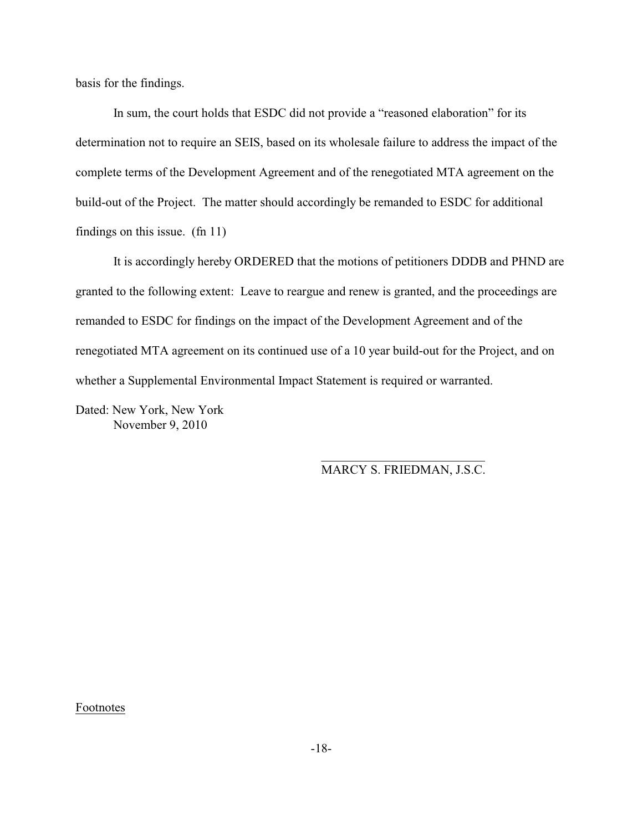basis for the findings.

In sum, the court holds that ESDC did not provide a "reasoned elaboration" for its determination not to require an SEIS, based on its wholesale failure to address the impact of the complete terms of the Development Agreement and of the renegotiated MTA agreement on the build-out of the Project. The matter should accordingly be remanded to ESDC for additional findings on this issue. (fn 11)

It is accordingly hereby ORDERED that the motions of petitioners DDDB and PHND are granted to the following extent: Leave to reargue and renew is granted, and the proceedings are remanded to ESDC for findings on the impact of the Development Agreement and of the renegotiated MTA agreement on its continued use of a 10 year build-out for the Project, and on whether a Supplemental Environmental Impact Statement is required or warranted.

 $\overline{\phantom{a}}$  , and the contract of the contract of the contract of the contract of the contract of the contract of the contract of the contract of the contract of the contract of the contract of the contract of the contrac

Dated: New York, New York November 9, 2010

MARCY S. FRIEDMAN, J.S.C.

Footnotes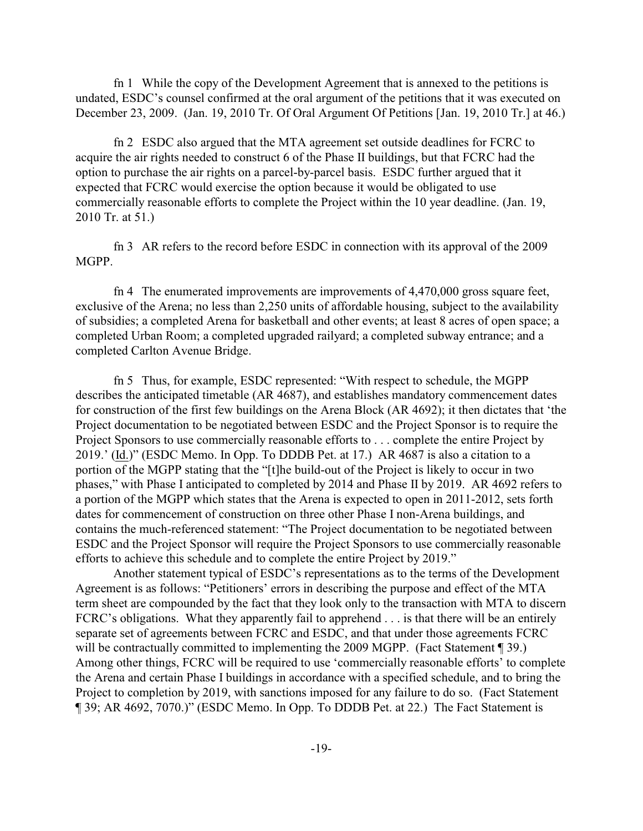fn 1 While the copy of the Development Agreement that is annexed to the petitions is undated, ESDC's counsel confirmed at the oral argument of the petitions that it was executed on December 23, 2009. (Jan. 19, 2010 Tr. Of Oral Argument Of Petitions [Jan. 19, 2010 Tr.] at 46.)

fn 2 ESDC also argued that the MTA agreement set outside deadlines for FCRC to acquire the air rights needed to construct 6 of the Phase II buildings, but that FCRC had the option to purchase the air rights on a parcel-by-parcel basis. ESDC further argued that it expected that FCRC would exercise the option because it would be obligated to use commercially reasonable efforts to complete the Project within the 10 year deadline. (Jan. 19, 2010 Tr. at 51.)

fn 3 AR refers to the record before ESDC in connection with its approval of the 2009 MGPP.

fn 4 The enumerated improvements are improvements of 4,470,000 gross square feet, exclusive of the Arena; no less than 2,250 units of affordable housing, subject to the availability of subsidies; a completed Arena for basketball and other events; at least 8 acres of open space; a completed Urban Room; a completed upgraded railyard; a completed subway entrance; and a completed Carlton Avenue Bridge.

fn 5 Thus, for example, ESDC represented: "With respect to schedule, the MGPP describes the anticipated timetable (AR 4687), and establishes mandatory commencement dates for construction of the first few buildings on the Arena Block (AR 4692); it then dictates that 'the Project documentation to be negotiated between ESDC and the Project Sponsor is to require the Project Sponsors to use commercially reasonable efforts to . . . complete the entire Project by 2019.' (Id.)" (ESDC Memo. In Opp. To DDDB Pet. at 17.) AR 4687 is also a citation to a portion of the MGPP stating that the "[t]he build-out of the Project is likely to occur in two phases," with Phase I anticipated to completed by 2014 and Phase II by 2019. AR 4692 refers to a portion of the MGPP which states that the Arena is expected to open in 2011-2012, sets forth dates for commencement of construction on three other Phase I non-Arena buildings, and contains the much-referenced statement: "The Project documentation to be negotiated between ESDC and the Project Sponsor will require the Project Sponsors to use commercially reasonable efforts to achieve this schedule and to complete the entire Project by 2019."

Another statement typical of ESDC's representations as to the terms of the Development Agreement is as follows: "Petitioners' errors in describing the purpose and effect of the MTA term sheet are compounded by the fact that they look only to the transaction with MTA to discern FCRC's obligations. What they apparently fail to apprehend . . . is that there will be an entirely separate set of agreements between FCRC and ESDC, and that under those agreements FCRC will be contractually committed to implementing the 2009 MGPP. (Fact Statement ¶ 39.) Among other things, FCRC will be required to use 'commercially reasonable efforts' to complete the Arena and certain Phase I buildings in accordance with a specified schedule, and to bring the Project to completion by 2019, with sanctions imposed for any failure to do so. (Fact Statement ¶ 39; AR 4692, 7070.)" (ESDC Memo. In Opp. To DDDB Pet. at 22.) The Fact Statement is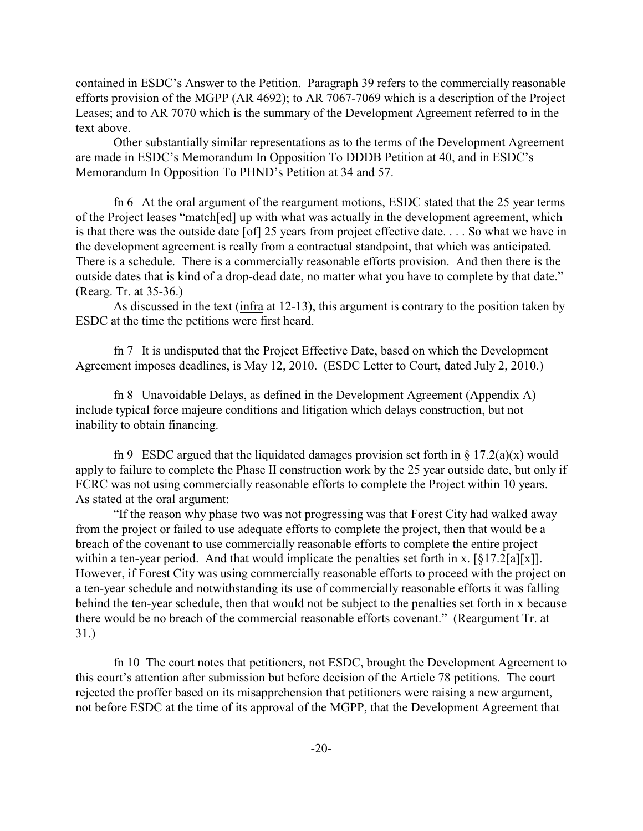contained in ESDC's Answer to the Petition. Paragraph 39 refers to the commercially reasonable efforts provision of the MGPP (AR 4692); to AR 7067-7069 which is a description of the Project Leases; and to AR 7070 which is the summary of the Development Agreement referred to in the text above.

Other substantially similar representations as to the terms of the Development Agreement are made in ESDC's Memorandum In Opposition To DDDB Petition at 40, and in ESDC's Memorandum In Opposition To PHND's Petition at 34 and 57.

fn 6 At the oral argument of the reargument motions, ESDC stated that the 25 year terms of the Project leases "match[ed] up with what was actually in the development agreement, which is that there was the outside date [of] 25 years from project effective date. . . . So what we have in the development agreement is really from a contractual standpoint, that which was anticipated. There is a schedule. There is a commercially reasonable efforts provision. And then there is the outside dates that is kind of a drop-dead date, no matter what you have to complete by that date." (Rearg. Tr. at 35-36.)

As discussed in the text (infra at 12-13), this argument is contrary to the position taken by ESDC at the time the petitions were first heard.

fn 7 It is undisputed that the Project Effective Date, based on which the Development Agreement imposes deadlines, is May 12, 2010. (ESDC Letter to Court, dated July 2, 2010.)

fn 8 Unavoidable Delays, as defined in the Development Agreement (Appendix A) include typical force majeure conditions and litigation which delays construction, but not inability to obtain financing.

fn 9 ESDC argued that the liquidated damages provision set forth in  $\S 17.2(a)(x)$  would apply to failure to complete the Phase II construction work by the 25 year outside date, but only if FCRC was not using commercially reasonable efforts to complete the Project within 10 years. As stated at the oral argument:

"If the reason why phase two was not progressing was that Forest City had walked away from the project or failed to use adequate efforts to complete the project, then that would be a breach of the covenant to use commercially reasonable efforts to complete the entire project within a ten-year period. And that would implicate the penalties set forth in x. [§17.2[a][x]]. However, if Forest City was using commercially reasonable efforts to proceed with the project on a ten-year schedule and notwithstanding its use of commercially reasonable efforts it was falling behind the ten-year schedule, then that would not be subject to the penalties set forth in x because there would be no breach of the commercial reasonable efforts covenant." (Reargument Tr. at 31.)

fn 10 The court notes that petitioners, not ESDC, brought the Development Agreement to this court's attention after submission but before decision of the Article 78 petitions. The court rejected the proffer based on its misapprehension that petitioners were raising a new argument, not before ESDC at the time of its approval of the MGPP, that the Development Agreement that